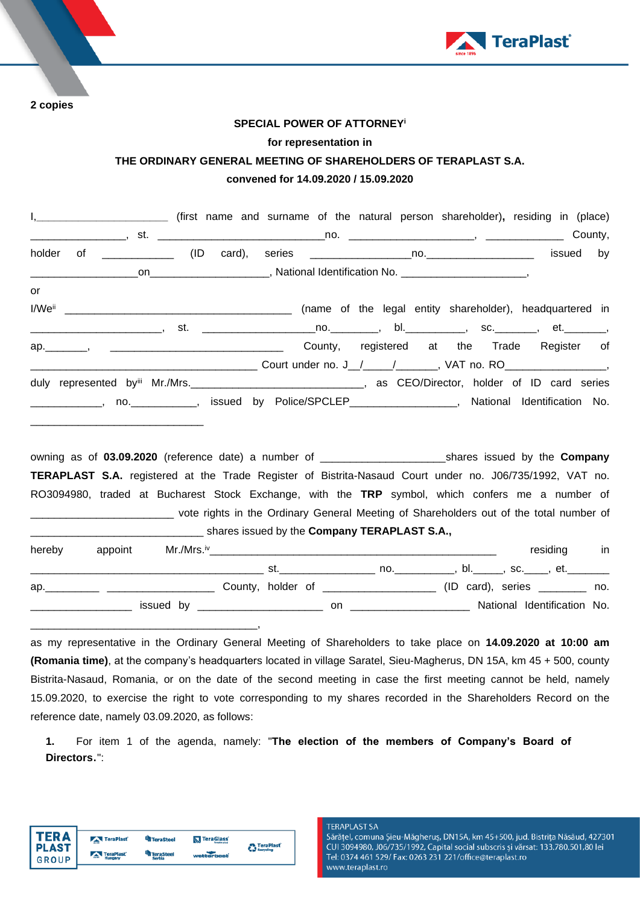

**2 copies**

### **SPECIAL POWER OF ATTORNEY<sup>i</sup>**

#### **for representation in**

# **THE ORDINARY GENERAL MEETING OF SHAREHOLDERS OF TERAPLAST S.A.**

# **convened for 14.09.2020 / 15.09.2020**

|        | l, ___________________________ (first name and surname of the natural person shareholder), residing in (place)                                                                                                                 |  |  |                                             |    |
|--------|--------------------------------------------------------------------------------------------------------------------------------------------------------------------------------------------------------------------------------|--|--|---------------------------------------------|----|
|        |                                                                                                                                                                                                                                |  |  |                                             |    |
| holder |                                                                                                                                                                                                                                |  |  |                                             | by |
|        |                                                                                                                                                                                                                                |  |  |                                             |    |
| or     |                                                                                                                                                                                                                                |  |  |                                             |    |
|        |                                                                                                                                                                                                                                |  |  |                                             |    |
|        | _________________________, st.  _________________________________, bl._____________, sc._________, et._________                                                                                                                |  |  |                                             |    |
|        |                                                                                                                                                                                                                                |  |  | County, registered at the Trade Register of |    |
|        |                                                                                                                                                                                                                                |  |  |                                             |    |
|        | duly represented by <sup>iii</sup> Mr./Mrs._________________________________, as CEO/Director, holder of ID card series                                                                                                        |  |  |                                             |    |
|        | _____________, no.____________, issued by Police/SPCLEP_________________, National Identification No.                                                                                                                          |  |  |                                             |    |
|        |                                                                                                                                                                                                                                |  |  |                                             |    |
|        |                                                                                                                                                                                                                                |  |  |                                             |    |
|        | owning as of 03.09.2020 (reference date) a number of ______________________________shares issued by the Company                                                                                                                |  |  |                                             |    |
|        | TERAPLAST S.A. registered at the Trade Register of Bistrita-Nasaud Court under no. J06/735/1992, VAT no.                                                                                                                       |  |  |                                             |    |
|        | RO3094980, traded at Bucharest Stock Exchange, with the TRP symbol, which confers me a number of                                                                                                                               |  |  |                                             |    |
|        | _______________________________ vote rights in the Ordinary General Meeting of Shareholders out of the total number of                                                                                                         |  |  |                                             |    |
|        |                                                                                                                                                                                                                                |  |  |                                             |    |
| hereby | appoint                                                                                                                                                                                                                        |  |  | residing in                                 |    |
|        |                                                                                                                                                                                                                                |  |  |                                             |    |
|        | ap. 10. App. 10. App. 20. App. 20. App. 20. App. 20. App. 20. App. 20. App. 20. App. 20. App. 20. App. 20. App. 20. App. 20. App. 20. App. 20. App. 20. App. 20. App. 20. App. 20. App. 20. App. 20. App. 20. App. 20. App. 20 |  |  |                                             |    |
|        |                                                                                                                                                                                                                                |  |  |                                             |    |

\_\_\_\_\_\_\_\_\_\_\_\_\_\_\_\_\_ issued by \_\_\_\_\_\_\_\_\_\_\_\_\_\_\_\_\_\_\_\_\_ on \_\_\_\_\_\_\_\_\_\_\_\_\_\_\_\_\_\_\_\_ National Identification No.

as my representative in the Ordinary General Meeting of Shareholders to take place on **14.09.2020 at 10:00 am (Romania time)**, at the company's headquarters located in village Saratel, Sieu-Magherus, DN 15A, km 45 + 500, county Bistrita-Nasaud, Romania, or on the date of the second meeting in case the first meeting cannot be held, namely 15.09.2020, to exercise the right to vote corresponding to my shares recorded in the Shareholders Record on the reference date, namely 03.09.2020, as follows:

**1.** For item 1 of the agenda, namely: "**The election of the members of Company's Board of Directors**.":



\_\_\_\_\_\_\_\_\_\_\_\_\_\_\_\_\_\_\_\_\_\_\_\_\_\_\_\_\_\_\_\_\_\_\_\_\_\_,

#### **TERAPLAST SA**

Sărățel, comuna Șieu-Măgheruș, DN15A, km 45+500, jud. Bistrița Năsăud, 427301 CUI 3094980, J06/735/1992, Capital social subscris și vărsat: 133.780.501,80 lei Tel: 0374 461 529/ Fax: 0263 231 221/office@teraplast.ro www.teraplast.ro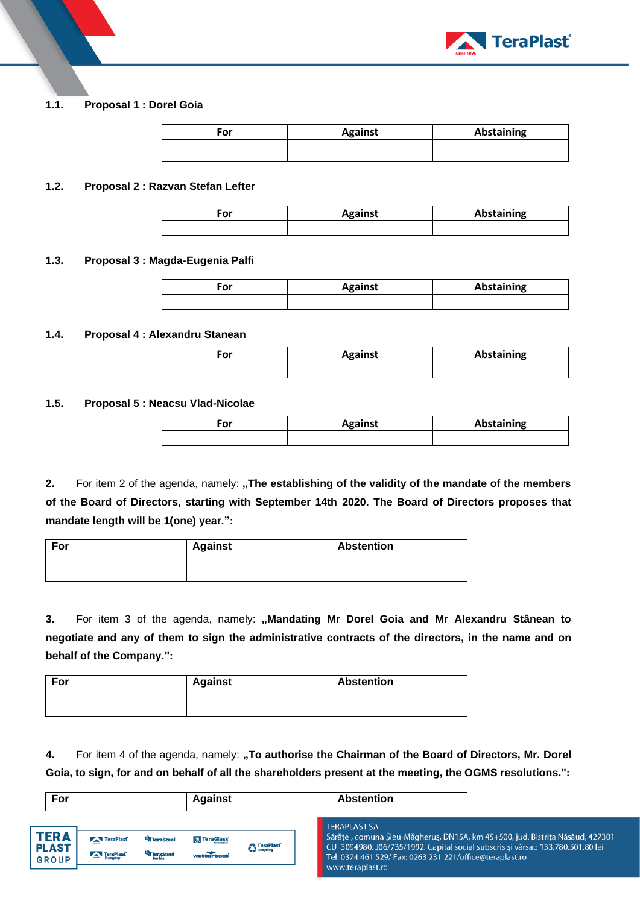

# **1.1. Proposal 1 : Dorel Goia**

| For | <b>Against</b> | <b>Abstaining</b> |
|-----|----------------|-------------------|
|     |                |                   |

## **1.2. Proposal 2 : Razvan Stefan Lefter**

| <b>Against</b> |  |  |
|----------------|--|--|
|                |  |  |

# **1.3. Proposal 3 : Magda-Eugenia Palfi**

| -or | <b>Against</b> | <b>Abstaining</b> |  |  |
|-----|----------------|-------------------|--|--|
|     |                |                   |  |  |

### **1.4. Proposal 4 : Alexandru Stanean**

| <b>OP</b><br>-טי | <b>Against</b> | Abstaining |  |  |
|------------------|----------------|------------|--|--|
|                  |                |            |  |  |

### **1.5. Proposal 5 : Neacsu Vlad-Nicolae**

| ~"<br>vı | <b>Against</b> | Abstaining |  |
|----------|----------------|------------|--|
|          |                |            |  |

**2.** For item 2 of the agenda, namely: "The establishing of the validity of the mandate of the members **of the Board of Directors, starting with September 14th 2020. The Board of Directors proposes that mandate length will be 1(one) year.":**

| For | <b>Against</b> | <b>Abstention</b> |  |  |
|-----|----------------|-------------------|--|--|
|     |                |                   |  |  |

3. For item 3 of the agenda, namely: "Mandating Mr Dorel Goia and Mr Alexandru Stânean to **negotiate and any of them to sign the administrative contracts of the directors, in the name and on behalf of the Company.":**

| For | <b>Against</b> | <b>Abstention</b> |  |
|-----|----------------|-------------------|--|
|     |                |                   |  |

4. For item 4 of the agenda, namely: "To authorise the Chairman of the Board of Directors, Mr. Dorel **Goia, to sign, for and on behalf of all the shareholders present at the meeting, the OGMS resolutions.":**

| For                                         |                        |                                             | <b>Against</b>                   |                                 | <b>Abstention</b>                       |                                                          |                                                                                                                                                                   |
|---------------------------------------------|------------------------|---------------------------------------------|----------------------------------|---------------------------------|-----------------------------------------|----------------------------------------------------------|-------------------------------------------------------------------------------------------------------------------------------------------------------------------|
| <b>TERA</b><br><b>PLAST</b><br><b>GROUP</b> | TeraPlast<br>TeraPlast | <sup>th</sup> TeraSteel<br><b>TeraSteel</b> | <b>N</b> TeraGlass<br>wetterbest | <b>C</b> TeraPlast <sup>'</sup> | <b>TERAPLAST SA</b><br>www.teraplast.ro | Tel: 0374 461 529/ Fax: 0263 231 221/office@teraplast.ro | Sărățel, comuna Șieu-Măgheruș, DN15A, km 45+500, jud. Bistrița Năsăud, 427301<br>CUI 3094980, J06/735/1992, Capital social subscris și vărsat: 133.780.501,80 lei |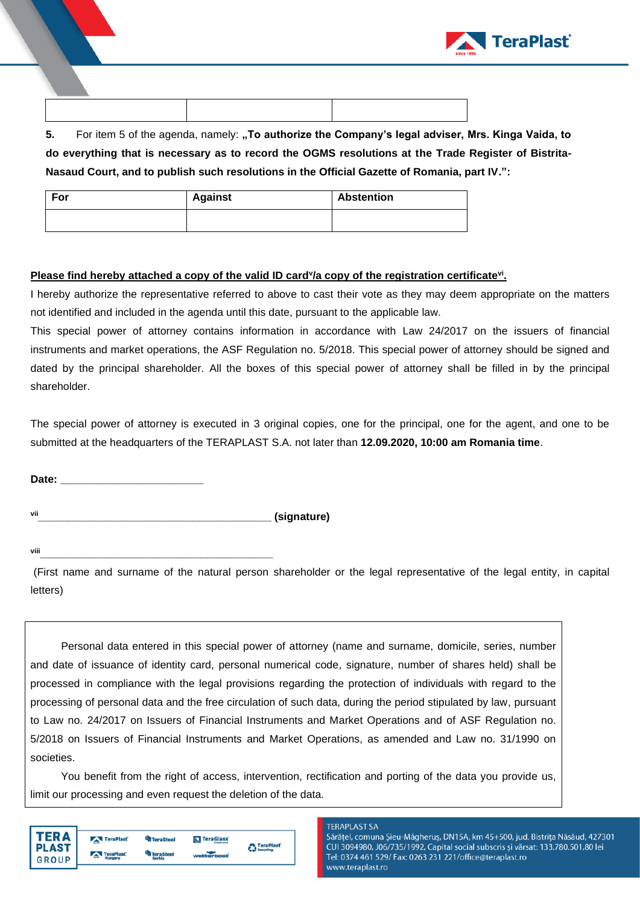

**5.** For item 5 of the agenda, namely: "To authorize the Company's legal adviser, Mrs. Kinga Vaida, to **do everything that is necessary as to record the OGMS resolutions at the Trade Register of Bistrita-Nasaud Court, and to publish such resolutions in the Official Gazette of Romania, part IV.":**

| For | <b>Against</b> | <b>Abstention</b> |  |  |
|-----|----------------|-------------------|--|--|
|     |                |                   |  |  |

# Please find hereby attached a copy of the valid ID card<sup>y</sup>/a copy of the registration certificate<sup>vi</sup>.

I hereby authorize the representative referred to above to cast their vote as they may deem appropriate on the matters not identified and included in the agenda until this date, pursuant to the applicable law.

This special power of attorney contains information in accordance with Law 24/2017 on the issuers of financial instruments and market operations, the ASF Regulation no. 5/2018. This special power of attorney should be signed and dated by the principal shareholder. All the boxes of this special power of attorney shall be filled in by the principal shareholder.

The special power of attorney is executed in 3 original copies, one for the principal, one for the agent, and one to be submitted at the headquarters of the TERAPLAST S.A. not later than **12.09.2020, 10:00 am Romania time**.

Date:

**vii\_\_\_\_\_\_\_\_\_\_\_\_\_\_\_\_\_\_\_\_\_\_\_\_\_\_\_\_\_\_\_\_\_\_\_\_\_\_\_ (signature)**

**viii\_\_\_\_\_\_\_\_\_\_\_\_\_\_\_\_\_\_\_\_\_\_\_\_\_\_\_\_\_\_\_\_\_\_\_\_\_\_\_**

(First name and surname of the natural person shareholder or the legal representative of the legal entity, in capital letters)

Personal data entered in this special power of attorney (name and surname, domicile, series, number and date of issuance of identity card, personal numerical code, signature, number of shares held) shall be processed in compliance with the legal provisions regarding the protection of individuals with regard to the processing of personal data and the free circulation of such data, during the period stipulated by law, pursuant to Law no. 24/2017 on Issuers of Financial Instruments and Market Operations and of ASF Regulation no. 5/2018 on Issuers of Financial Instruments and Market Operations, as amended and Law no. 31/1990 on societies.

You benefit from the right of access, intervention, rectification and porting of the data you provide us, limit our processing and even request the deletion of the data.

| <b>PLAST</b><br><b>GROUP</b> | TeraPlast<br>TeraPlast<br>Hungary | <sup>U</sup> n TeraSteel<br><b>TeraSteel</b><br>Serbia | TeraGlass<br>wetterbeat | <b>A</b> TeraPlast<br><b>Recycling</b> |
|------------------------------|-----------------------------------|--------------------------------------------------------|-------------------------|----------------------------------------|
|                              |                                   |                                                        |                         |                                        |

#### **TERAPLAST SA**

Sărățel, comuna Șieu-Măgheruș, DN15A, km 45+500, jud. Bistrița Năsăud, 427301 CUI 3094980, J06/735/1992, Capital social subscris și vărsat: 133.780.501,80 lei Tel: 0374 461 529/ Fax: 0263 231 221/office@teraplast.ro www.teraplast.ro